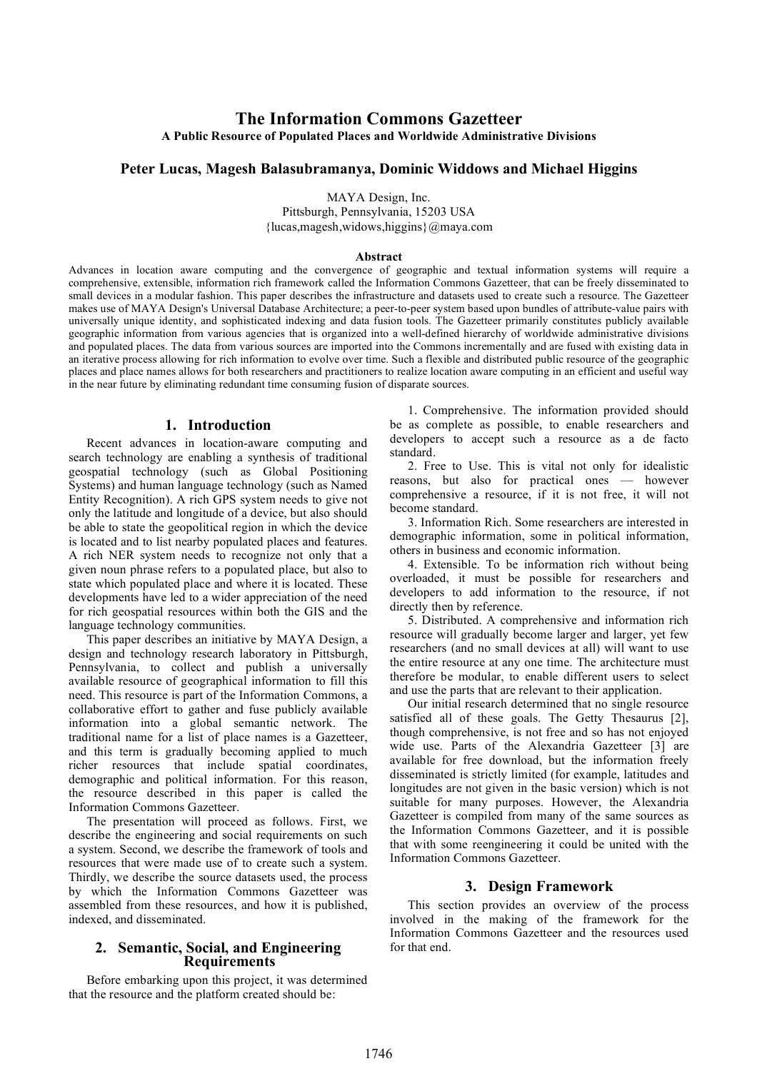# **The Information Commons Gazetteer A Public Resource of Populated Places and Worldwide Administrative Divisions**

## **Peter Lucas, Magesh Balasubramanya, Dominic Widdows and Michael Higgins**

MAYA Design, Inc.

Pittsburgh, Pennsylvania, 15203 USA {lucas,magesh,widows,higgins}@maya.com

#### **Abstract**

Advances in location aware computing and the convergence of geographic and textual information systems will require a comprehensive, extensible, information rich framework called the Information Commons Gazetteer, that can be freely disseminated to small devices in a modular fashion. This paper describes the infrastructure and datasets used to create such a resource. The Gazetteer makes use of MAYA Design's Universal Database Architecture; a peer-to-peer system based upon bundles of attribute-value pairs with universally unique identity, and sophisticated indexing and data fusion tools. The Gazetteer primarily constitutes publicly available geographic information from various agencies that is organized into a well-defined hierarchy of worldwide administrative divisions and populated places. The data from various sources are imported into the Commons incrementally and are fused with existing data in an iterative process allowing for rich information to evolve over time. Such a flexible and distributed public resource of the geographic places and place names allows for both researchers and practitioners to realize location aware computing in an efficient and useful way in the near future by eliminating redundant time consuming fusion of disparate sources.

## **1. Introduction**

Recent advances in location-aware computing and search technology are enabling a synthesis of traditional geospatial technology (such as Global Positioning Systems) and human language technology (such as Named Entity Recognition). A rich GPS system needs to give not only the latitude and longitude of a device, but also should be able to state the geopolitical region in which the device is located and to list nearby populated places and features. A rich NER system needs to recognize not only that a given noun phrase refers to a populated place, but also to state which populated place and where it is located. These developments have led to a wider appreciation of the need for rich geospatial resources within both the GIS and the language technology communities.

This paper describes an initiative by MAYA Design, a design and technology research laboratory in Pittsburgh, Pennsylvania, to collect and publish a universally available resource of geographical information to fill this need. This resource is part of the Information Commons, a collaborative effort to gather and fuse publicly available information into a global semantic network. The traditional name for a list of place names is a Gazetteer, and this term is gradually becoming applied to much richer resources that include spatial coordinates, demographic and political information. For this reason, the resource described in this paper is called the Information Commons Gazetteer.

The presentation will proceed as follows. First, we describe the engineering and social requirements on such a system. Second, we describe the framework of tools and resources that were made use of to create such a system. Thirdly, we describe the source datasets used, the process by which the Information Commons Gazetteer was assembled from these resources, and how it is published, indexed, and disseminated.

### **2. Semantic, Social, and Engineering Requirements**

Before embarking upon this project, it was determined that the resource and the platform created should be:

1. Comprehensive. The information provided should be as complete as possible, to enable researchers and developers to accept such a resource as a de facto standard.

2. Free to Use. This is vital not only for idealistic reasons, but also for practical ones — however comprehensive a resource, if it is not free, it will not become standard.

3. Information Rich. Some researchers are interested in demographic information, some in political information, others in business and economic information.

4. Extensible. To be information rich without being overloaded, it must be possible for researchers and developers to add information to the resource, if not directly then by reference.

5. Distributed. A comprehensive and information rich resource will gradually become larger and larger, yet few researchers (and no small devices at all) will want to use the entire resource at any one time. The architecture must therefore be modular, to enable different users to select and use the parts that are relevant to their application.

Our initial research determined that no single resource satisfied all of these goals. The Getty Thesaurus [2], though comprehensive, is not free and so has not enjoyed wide use. Parts of the Alexandria Gazetteer [3] are available for free download, but the information freely disseminated is strictly limited (for example, latitudes and longitudes are not given in the basic version) which is not suitable for many purposes. However, the Alexandria Gazetteer is compiled from many of the same sources as the Information Commons Gazetteer, and it is possible that with some reengineering it could be united with the Information Commons Gazetteer.

## **3. Design Framework**

This section provides an overview of the process involved in the making of the framework for the Information Commons Gazetteer and the resources used for that end.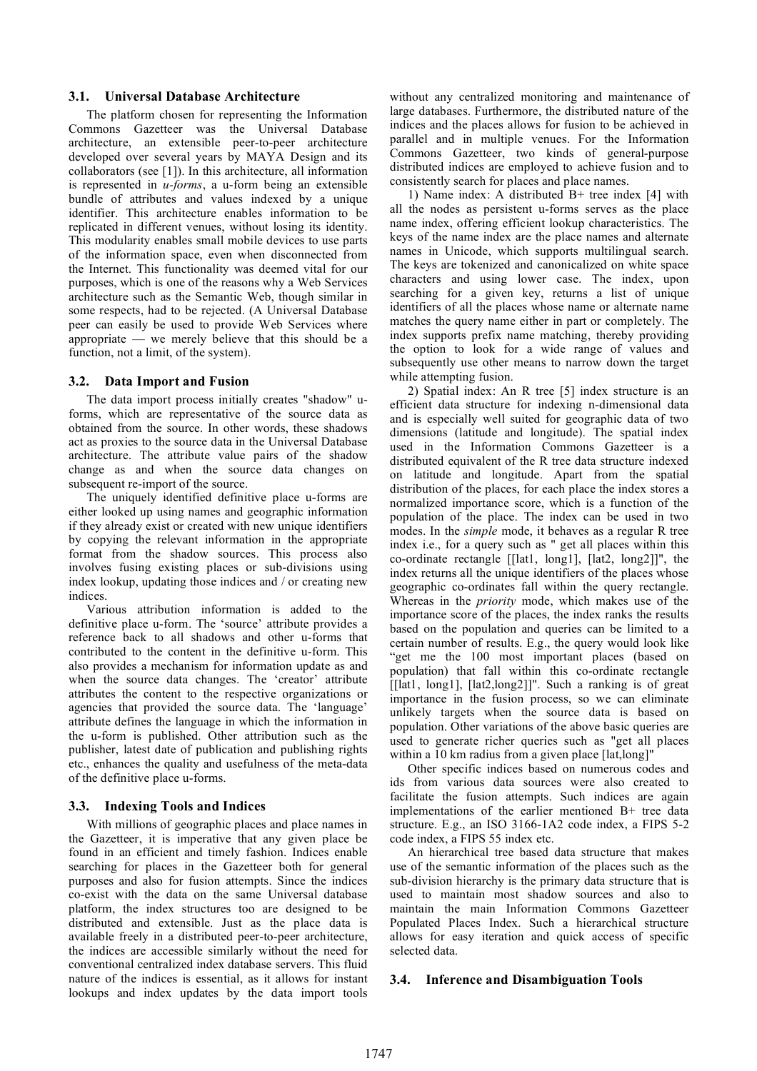### **3.1. Universal Database Architecture**

The platform chosen for representing the Information Commons Gazetteer was the Universal Database architecture, an extensible peer-to-peer architecture developed over several years by MAYA Design and its collaborators (see [1]). In this architecture, all information is represented in *u-forms*, a u-form being an extensible bundle of attributes and values indexed by a unique identifier. This architecture enables information to be replicated in different venues, without losing its identity. This modularity enables small mobile devices to use parts of the information space, even when disconnected from the Internet. This functionality was deemed vital for our purposes, which is one of the reasons why a Web Services architecture such as the Semantic Web, though similar in some respects, had to be rejected. (A Universal Database peer can easily be used to provide Web Services where appropriate — we merely believe that this should be a function, not a limit, of the system).

### **3.2. Data Import and Fusion**

The data import process initially creates "shadow" uforms, which are representative of the source data as obtained from the source. In other words, these shadows act as proxies to the source data in the Universal Database architecture. The attribute value pairs of the shadow change as and when the source data changes on subsequent re-import of the source.

The uniquely identified definitive place u-forms are either looked up using names and geographic information if they already exist or created with new unique identifiers by copying the relevant information in the appropriate format from the shadow sources. This process also involves fusing existing places or sub-divisions using index lookup, updating those indices and / or creating new indices.

Various attribution information is added to the definitive place u-form. The 'source' attribute provides a reference back to all shadows and other u-forms that contributed to the content in the definitive u-form. This also provides a mechanism for information update as and when the source data changes. The 'creator' attribute attributes the content to the respective organizations or agencies that provided the source data. The 'language' attribute defines the language in which the information in the u-form is published. Other attribution such as the publisher, latest date of publication and publishing rights etc., enhances the quality and usefulness of the meta-data of the definitive place u-forms.

## **3.3. Indexing Tools and Indices**

With millions of geographic places and place names in the Gazetteer, it is imperative that any given place be found in an efficient and timely fashion. Indices enable searching for places in the Gazetteer both for general purposes and also for fusion attempts. Since the indices co-exist with the data on the same Universal database platform, the index structures too are designed to be distributed and extensible. Just as the place data is available freely in a distributed peer-to-peer architecture, the indices are accessible similarly without the need for conventional centralized index database servers. This fluid nature of the indices is essential, as it allows for instant lookups and index updates by the data import tools without any centralized monitoring and maintenance of large databases. Furthermore, the distributed nature of the indices and the places allows for fusion to be achieved in parallel and in multiple venues. For the Information Commons Gazetteer, two kinds of general-purpose distributed indices are employed to achieve fusion and to consistently search for places and place names.

1) Name index: A distributed B+ tree index [4] with all the nodes as persistent u-forms serves as the place name index, offering efficient lookup characteristics. The keys of the name index are the place names and alternate names in Unicode, which supports multilingual search. The keys are tokenized and canonicalized on white space characters and using lower case. The index, upon searching for a given key, returns a list of unique identifiers of all the places whose name or alternate name matches the query name either in part or completely. The index supports prefix name matching, thereby providing the option to look for a wide range of values and subsequently use other means to narrow down the target while attempting fusion.

2) Spatial index: An R tree [5] index structure is an efficient data structure for indexing n-dimensional data and is especially well suited for geographic data of two dimensions (latitude and longitude). The spatial index used in the Information Commons Gazetteer is a distributed equivalent of the R tree data structure indexed on latitude and longitude. Apart from the spatial distribution of the places, for each place the index stores a normalized importance score, which is a function of the population of the place. The index can be used in two modes. In the *simple* mode, it behaves as a regular R tree index i.e., for a query such as " get all places within this co-ordinate rectangle [[lat1, long1], [lat2, long2]]", the index returns all the unique identifiers of the places whose geographic co-ordinates fall within the query rectangle. Whereas in the *priority* mode, which makes use of the importance score of the places, the index ranks the results based on the population and queries can be limited to a certain number of results. E.g., the query would look like "get me the 100 most important places (based on population) that fall within this co-ordinate rectangle [[lat1, long1], [lat2,long2]]". Such a ranking is of great importance in the fusion process, so we can eliminate unlikely targets when the source data is based on population. Other variations of the above basic queries are used to generate richer queries such as "get all places within a 10 km radius from a given place [lat,long]"

Other specific indices based on numerous codes and ids from various data sources were also created to facilitate the fusion attempts. Such indices are again implementations of the earlier mentioned B+ tree data structure. E.g., an ISO 3166-1A2 code index, a FIPS 5-2 code index, a FIPS 55 index etc.

An hierarchical tree based data structure that makes use of the semantic information of the places such as the sub-division hierarchy is the primary data structure that is used to maintain most shadow sources and also to maintain the main Information Commons Gazetteer Populated Places Index. Such a hierarchical structure allows for easy iteration and quick access of specific selected data.

### **3.4. Inference and Disambiguation Tools**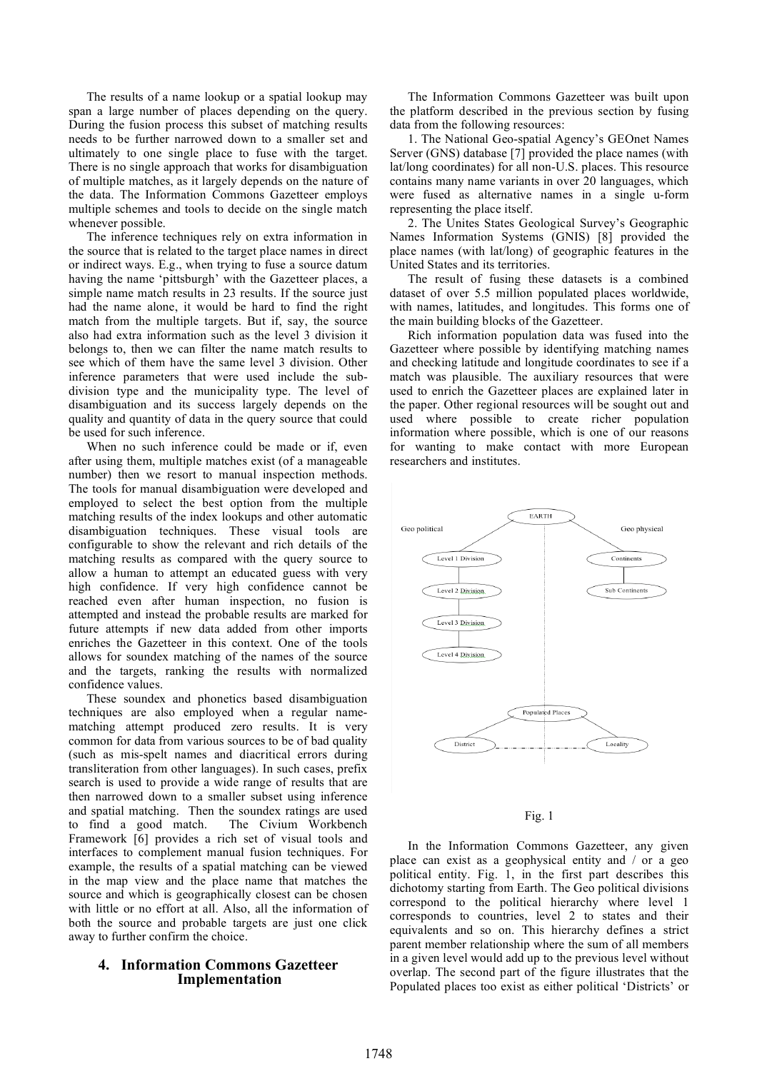The results of a name lookup or a spatial lookup may span a large number of places depending on the query. During the fusion process this subset of matching results needs to be further narrowed down to a smaller set and ultimately to one single place to fuse with the target. There is no single approach that works for disambiguation of multiple matches, as it largely depends on the nature of the data. The Information Commons Gazetteer employs multiple schemes and tools to decide on the single match whenever possible.

The inference techniques rely on extra information in the source that is related to the target place names in direct or indirect ways. E.g., when trying to fuse a source datum having the name 'pittsburgh' with the Gazetteer places, a simple name match results in 23 results. If the source just had the name alone, it would be hard to find the right match from the multiple targets. But if, say, the source also had extra information such as the level 3 division it belongs to, then we can filter the name match results to see which of them have the same level 3 division. Other inference parameters that were used include the subdivision type and the municipality type. The level of disambiguation and its success largely depends on the quality and quantity of data in the query source that could be used for such inference.

When no such inference could be made or if, even after using them, multiple matches exist (of a manageable number) then we resort to manual inspection methods. The tools for manual disambiguation were developed and employed to select the best option from the multiple matching results of the index lookups and other automatic disambiguation techniques. These visual tools are configurable to show the relevant and rich details of the matching results as compared with the query source to allow a human to attempt an educated guess with very high confidence. If very high confidence cannot be reached even after human inspection, no fusion is attempted and instead the probable results are marked for future attempts if new data added from other imports enriches the Gazetteer in this context. One of the tools allows for soundex matching of the names of the source and the targets, ranking the results with normalized confidence values.

These soundex and phonetics based disambiguation techniques are also employed when a regular namematching attempt produced zero results. It is very common for data from various sources to be of bad quality (such as mis-spelt names and diacritical errors during transliteration from other languages). In such cases, prefix search is used to provide a wide range of results that are then narrowed down to a smaller subset using inference and spatial matching. Then the soundex ratings are used to find a good match. The Civium Workbench Framework [6] provides a rich set of visual tools and interfaces to complement manual fusion techniques. For example, the results of a spatial matching can be viewed in the map view and the place name that matches the source and which is geographically closest can be chosen with little or no effort at all. Also, all the information of both the source and probable targets are just one click away to further confirm the choice.

### **4. Information Commons Gazetteer Implementation**

The Information Commons Gazetteer was built upon the platform described in the previous section by fusing data from the following resources:

1. The National Geo-spatial Agency's GEOnet Names Server (GNS) database [7] provided the place names (with lat/long coordinates) for all non-U.S. places. This resource contains many name variants in over 20 languages, which were fused as alternative names in a single u-form representing the place itself.

2. The Unites States Geological Survey's Geographic Names Information Systems (GNIS) [8] provided the place names (with lat/long) of geographic features in the United States and its territories.

The result of fusing these datasets is a combined dataset of over 5.5 million populated places worldwide, with names, latitudes, and longitudes. This forms one of the main building blocks of the Gazetteer.

Rich information population data was fused into the Gazetteer where possible by identifying matching names and checking latitude and longitude coordinates to see if a match was plausible. The auxiliary resources that were used to enrich the Gazetteer places are explained later in the paper. Other regional resources will be sought out and used where possible to create richer population information where possible, which is one of our reasons for wanting to make contact with more European researchers and institutes.



#### Fig. 1

In the Information Commons Gazetteer, any given place can exist as a geophysical entity and / or a geo political entity. Fig. 1, in the first part describes this dichotomy starting from Earth. The Geo political divisions correspond to the political hierarchy where level 1 corresponds to countries, level 2 to states and their equivalents and so on. This hierarchy defines a strict parent member relationship where the sum of all members in a given level would add up to the previous level without overlap. The second part of the figure illustrates that the Populated places too exist as either political 'Districts' or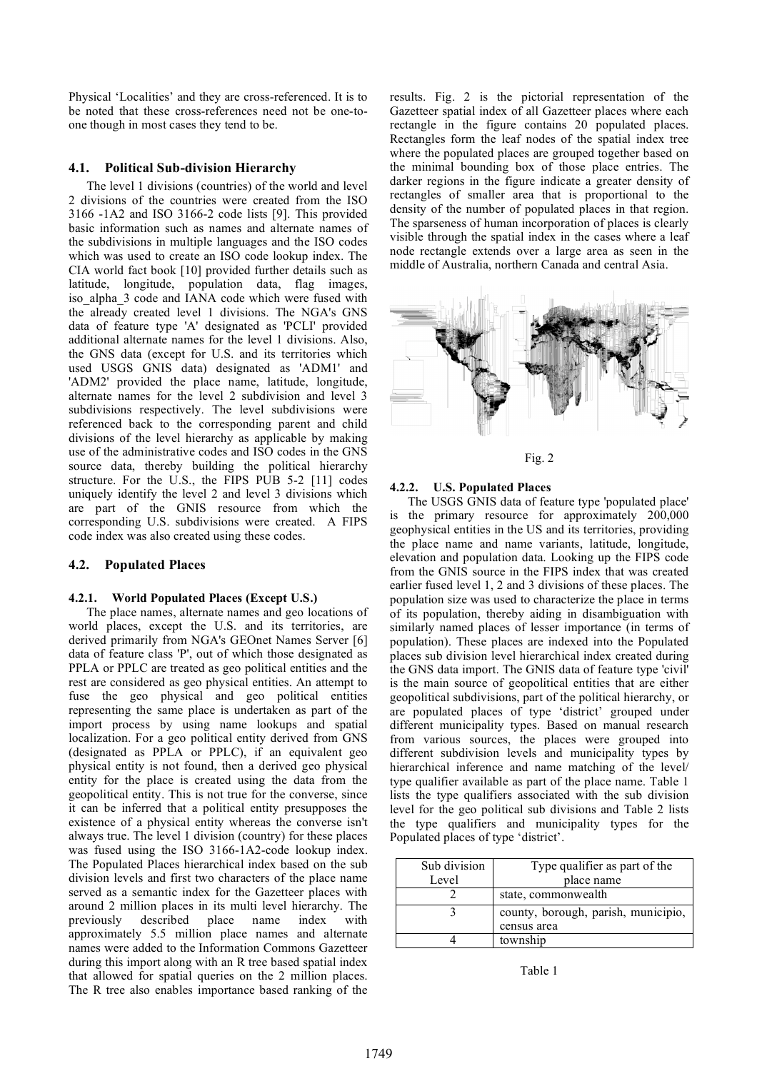Physical 'Localities' and they are cross-referenced. It is to be noted that these cross-references need not be one-toone though in most cases they tend to be.

## **4.1. Political Sub-division Hierarchy**

The level 1 divisions (countries) of the world and level 2 divisions of the countries were created from the ISO 3166 -1A2 and ISO 3166-2 code lists [9]. This provided basic information such as names and alternate names of the subdivisions in multiple languages and the ISO codes which was used to create an ISO code lookup index. The CIA world fact book [10] provided further details such as latitude, longitude, population data, flag images, iso\_alpha\_3 code and IANA code which were fused with the already created level 1 divisions. The NGA's GNS data of feature type 'A' designated as 'PCLI' provided additional alternate names for the level 1 divisions. Also, the GNS data (except for U.S. and its territories which used USGS GNIS data) designated as 'ADM1' and 'ADM2' provided the place name, latitude, longitude, alternate names for the level 2 subdivision and level 3 subdivisions respectively. The level subdivisions were referenced back to the corresponding parent and child divisions of the level hierarchy as applicable by making use of the administrative codes and ISO codes in the GNS source data, thereby building the political hierarchy structure. For the U.S., the FIPS PUB 5-2 [11] codes uniquely identify the level 2 and level 3 divisions which are part of the GNIS resource from which the corresponding U.S. subdivisions were created. A FIPS code index was also created using these codes.

## **4.2. Populated Places**

#### **4.2.1. World Populated Places (Except U.S.)**

The place names, alternate names and geo locations of world places, except the U.S. and its territories, are derived primarily from NGA's GEOnet Names Server [6] data of feature class 'P', out of which those designated as PPLA or PPLC are treated as geo political entities and the rest are considered as geo physical entities. An attempt to fuse the geo physical and geo political entities representing the same place is undertaken as part of the import process by using name lookups and spatial localization. For a geo political entity derived from GNS (designated as PPLA or PPLC), if an equivalent geo physical entity is not found, then a derived geo physical entity for the place is created using the data from the geopolitical entity. This is not true for the converse, since it can be inferred that a political entity presupposes the existence of a physical entity whereas the converse isn't always true. The level 1 division (country) for these places was fused using the ISO 3166-1A2-code lookup index. The Populated Places hierarchical index based on the sub division levels and first two characters of the place name served as a semantic index for the Gazetteer places with around 2 million places in its multi level hierarchy. The previously described place name index with approximately 5.5 million place names and alternate names were added to the Information Commons Gazetteer during this import along with an R tree based spatial index that allowed for spatial queries on the 2 million places. The R tree also enables importance based ranking of the

results. Fig. 2 is the pictorial representation of the Gazetteer spatial index of all Gazetteer places where each rectangle in the figure contains 20 populated places. Rectangles form the leaf nodes of the spatial index tree where the populated places are grouped together based on the minimal bounding box of those place entries. The darker regions in the figure indicate a greater density of rectangles of smaller area that is proportional to the density of the number of populated places in that region. The sparseness of human incorporation of places is clearly visible through the spatial index in the cases where a leaf node rectangle extends over a large area as seen in the middle of Australia, northern Canada and central Asia.





#### **4.2.2. U.S. Populated Places**

The USGS GNIS data of feature type 'populated place' is the primary resource for approximately 200,000 geophysical entities in the US and its territories, providing the place name and name variants, latitude, longitude, elevation and population data. Looking up the FIPS code from the GNIS source in the FIPS index that was created earlier fused level 1, 2 and 3 divisions of these places. The population size was used to characterize the place in terms of its population, thereby aiding in disambiguation with similarly named places of lesser importance (in terms of population). These places are indexed into the Populated places sub division level hierarchical index created during the GNS data import. The GNIS data of feature type 'civil' is the main source of geopolitical entities that are either geopolitical subdivisions, part of the political hierarchy, or are populated places of type 'district' grouped under different municipality types. Based on manual research from various sources, the places were grouped into different subdivision levels and municipality types by hierarchical inference and name matching of the level/ type qualifier available as part of the place name. Table 1 lists the type qualifiers associated with the sub division level for the geo political sub divisions and Table 2 lists the type qualifiers and municipality types for the Populated places of type 'district'.

| Sub division | Type qualifier as part of the       |
|--------------|-------------------------------------|
| Level        | place name                          |
|              | state, commonwealth                 |
|              | county, borough, parish, municipio, |
|              | census area                         |
|              | township                            |

Table 1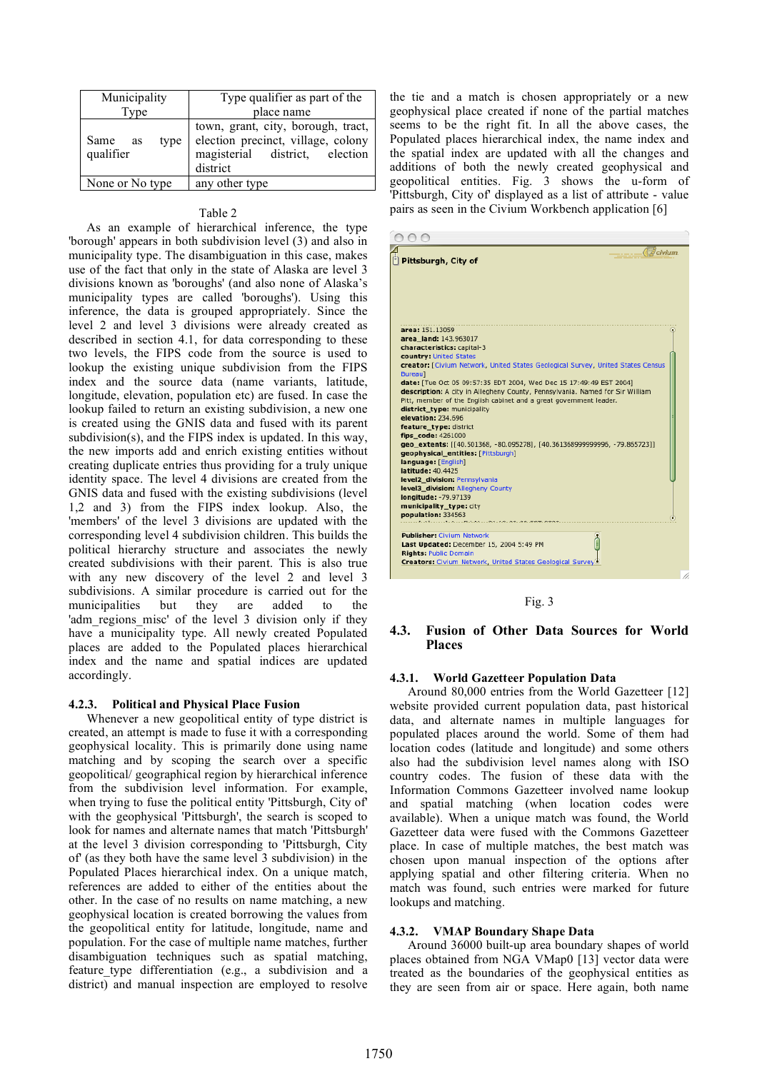| Municipality                 | Type qualifier as part of the                                                                                          |
|------------------------------|------------------------------------------------------------------------------------------------------------------------|
| Type                         | place name                                                                                                             |
| Same as<br>type<br>qualifier | town, grant, city, borough, tract,<br>election precinct, village, colony<br>magisterial district, election<br>district |
| None or No type              | any other type                                                                                                         |

#### Table 2

As an example of hierarchical inference, the type 'borough' appears in both subdivision level (3) and also in municipality type. The disambiguation in this case, makes use of the fact that only in the state of Alaska are level 3 divisions known as 'boroughs' (and also none of Alaska's municipality types are called 'boroughs'). Using this inference, the data is grouped appropriately. Since the level 2 and level 3 divisions were already created as described in section 4.1, for data corresponding to these two levels, the FIPS code from the source is used to lookup the existing unique subdivision from the FIPS index and the source data (name variants, latitude, longitude, elevation, population etc) are fused. In case the lookup failed to return an existing subdivision, a new one is created using the GNIS data and fused with its parent subdivision(s), and the FIPS index is updated. In this way, the new imports add and enrich existing entities without creating duplicate entries thus providing for a truly unique identity space. The level 4 divisions are created from the GNIS data and fused with the existing subdivisions (level 1,2 and 3) from the FIPS index lookup. Also, the 'members' of the level 3 divisions are updated with the corresponding level 4 subdivision children. This builds the political hierarchy structure and associates the newly created subdivisions with their parent. This is also true with any new discovery of the level 2 and level 3 subdivisions. A similar procedure is carried out for the municipalities but they are added to the 'adm regions misc' of the level 3 division only if they have a municipality type. All newly created Populated places are added to the Populated places hierarchical index and the name and spatial indices are updated accordingly.

#### **4.2.3. Political and Physical Place Fusion**

Whenever a new geopolitical entity of type district is created, an attempt is made to fuse it with a corresponding geophysical locality. This is primarily done using name matching and by scoping the search over a specific geopolitical/ geographical region by hierarchical inference from the subdivision level information. For example, when trying to fuse the political entity 'Pittsburgh, City of' with the geophysical 'Pittsburgh', the search is scoped to look for names and alternate names that match 'Pittsburgh' at the level 3 division corresponding to 'Pittsburgh, City of' (as they both have the same level 3 subdivision) in the Populated Places hierarchical index. On a unique match, references are added to either of the entities about the other. In the case of no results on name matching, a new geophysical location is created borrowing the values from the geopolitical entity for latitude, longitude, name and population. For the case of multiple name matches, further disambiguation techniques such as spatial matching, feature type differentiation (e.g., a subdivision and a district) and manual inspection are employed to resolve the tie and a match is chosen appropriately or a new geophysical place created if none of the partial matches seems to be the right fit. In all the above cases, the Populated places hierarchical index, the name index and the spatial index are updated with all the changes and additions of both the newly created geophysical and geopolitical entities. Fig. 3 shows the u-form of 'Pittsburgh, City of' displayed as a list of attribute - value pairs as seen in the Civium Workbench application [6]

| <i><b>Bcivium</b></i><br>Pittsburgh, City of                                                                                                                                                                                                                                                                                                                                                                                                                                                                                                                                                                                                                                                                                                                                                                                                        |
|-----------------------------------------------------------------------------------------------------------------------------------------------------------------------------------------------------------------------------------------------------------------------------------------------------------------------------------------------------------------------------------------------------------------------------------------------------------------------------------------------------------------------------------------------------------------------------------------------------------------------------------------------------------------------------------------------------------------------------------------------------------------------------------------------------------------------------------------------------|
| area: 151.13059<br>area land: 143.963017<br>characteristics: capital-3<br>country: United States<br>creator: [Civium Network, United States Geological Survey, United States Census<br><b>Bureau1</b><br>date: [Tue Oct 05 09:57:35 EDT 2004, Wed Dec 15 17:49:49 EST 2004]<br>description: A city in Allegheny County, Pennsylvania. Named for Sir William<br>Pitt, member of the English cabinet and a great government leader.<br>district_type: municipality<br>elevation: 234.696<br>feature_type: district<br>fips code: 4261000<br>geo_extents: [[40.501368, -80.095278], [40.361368999999996, -79.865723]]<br>geophysical entities: [Pittsburgh]<br>language: [English]<br>latitude: 40.4425<br>level2_division: Pennsylvania<br>level3 division: Allegheny County<br>longitude: -79.97139<br>municipality_type: city<br>population: 334563 |
| <b>Publisher: Civium Network</b><br>Last Updated: December 15, 2004 5:49 PM<br><b>Rights: Public Domain</b><br>Creators: Civium Network, United States Geological Survey                                                                                                                                                                                                                                                                                                                                                                                                                                                                                                                                                                                                                                                                            |

Fig. 3

## **4.3. Fusion of Other Data Sources for World Places**

#### **4.3.1. World Gazetteer Population Data**

Around 80,000 entries from the World Gazetteer [12] website provided current population data, past historical data, and alternate names in multiple languages for populated places around the world. Some of them had location codes (latitude and longitude) and some others also had the subdivision level names along with ISO country codes. The fusion of these data with the Information Commons Gazetteer involved name lookup and spatial matching (when location codes were available). When a unique match was found, the World Gazetteer data were fused with the Commons Gazetteer place. In case of multiple matches, the best match was chosen upon manual inspection of the options after applying spatial and other filtering criteria. When no match was found, such entries were marked for future lookups and matching.

#### **4.3.2. VMAP Boundary Shape Data**

Around 36000 built-up area boundary shapes of world places obtained from NGA VMap0 [13] vector data were treated as the boundaries of the geophysical entities as they are seen from air or space. Here again, both name